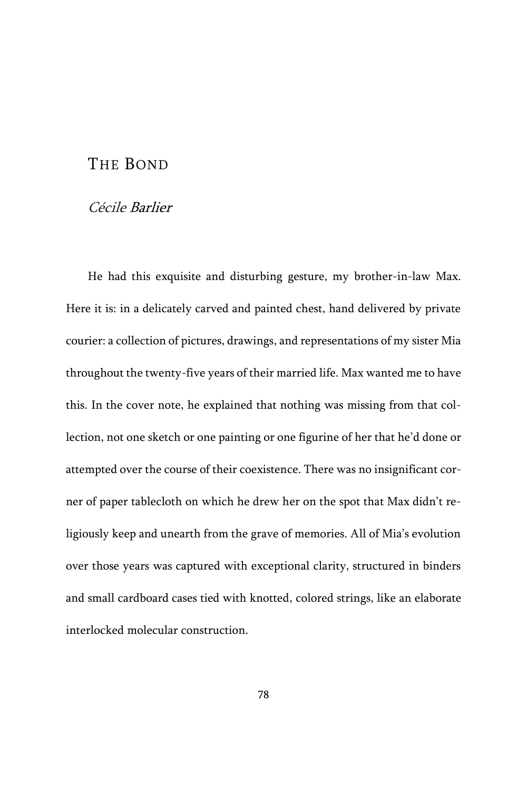## THE BOND

## Cécile Barlier

He had this exquisite and disturbing gesture, my brother-in-law Max. Here it is: in a delicately carved and painted chest, hand delivered by private courier: a collection of pictures, drawings, and representations of my sister Mia throughout the twenty-five years of their married life. Max wanted me to have this. In the cover note, he explained that nothing was missing from that collection, not one sketch or one painting or one figurine of her that he'd done or attempted over the course of their coexistence. There was no insignificant corner of paper tablecloth on which he drew her on the spot that Max didn't religiously keep and unearth from the grave of memories. All of Mia's evolution over those years was captured with exceptional clarity, structured in binders and small cardboard cases tied with knotted, colored strings, like an elaborate interlocked molecular construction.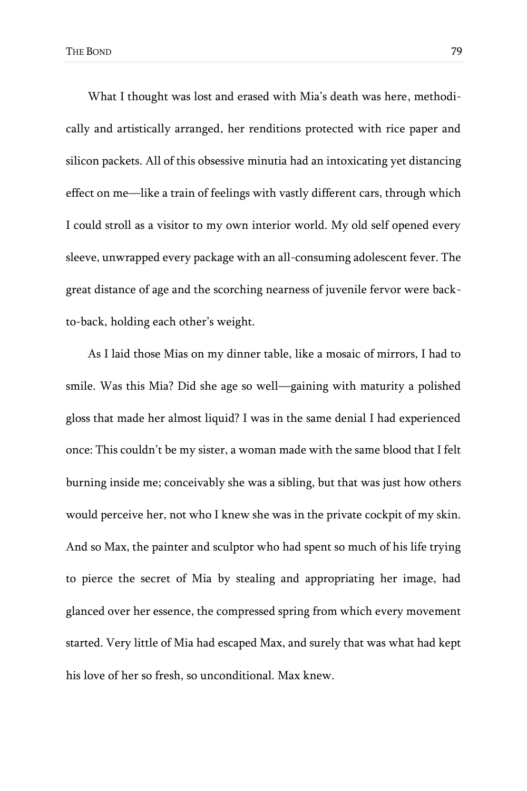What I thought was lost and erased with Mia's death was here, methodically and artistically arranged, her renditions protected with rice paper and silicon packets. All of this obsessive minutia had an intoxicating yet distancing effect on me—like a train of feelings with vastly different cars, through which I could stroll as a visitor to my own interior world. My old self opened every sleeve, unwrapped every package with an all-consuming adolescent fever. The great distance of age and the scorching nearness of juvenile fervor were backto-back, holding each other's weight.

As I laid those Mias on my dinner table, like a mosaic of mirrors, I had to smile. Was this Mia? Did she age so well—gaining with maturity a polished gloss that made her almost liquid? I was in the same denial I had experienced once: This couldn't be my sister, a woman made with the same blood that I felt burning inside me; conceivably she was a sibling, but that was just how others would perceive her, not who I knew she was in the private cockpit of my skin. And so Max, the painter and sculptor who had spent so much of his life trying to pierce the secret of Mia by stealing and appropriating her image, had glanced over her essence, the compressed spring from which every movement started. Very little of Mia had escaped Max, and surely that was what had kept his love of her so fresh, so unconditional. Max knew.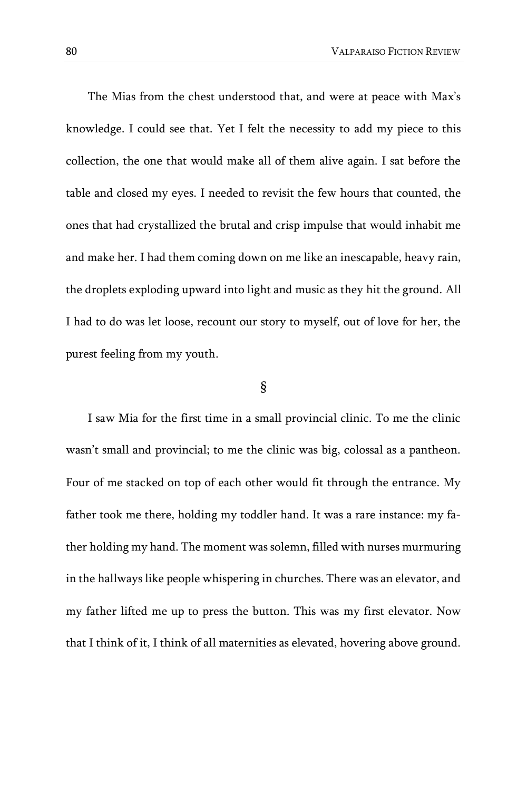The Mias from the chest understood that, and were at peace with Max's knowledge. I could see that. Yet I felt the necessity to add my piece to this collection, the one that would make all of them alive again. I sat before the table and closed my eyes. I needed to revisit the few hours that counted, the ones that had crystallized the brutal and crisp impulse that would inhabit me and make her. I had them coming down on me like an inescapable, heavy rain, the droplets exploding upward into light and music as they hit the ground. All I had to do was let loose, recount our story to myself, out of love for her, the purest feeling from my youth.

## §

I saw Mia for the first time in a small provincial clinic. To me the clinic wasn't small and provincial; to me the clinic was big, colossal as a pantheon. Four of me stacked on top of each other would fit through the entrance. My father took me there, holding my toddler hand. It was a rare instance: my father holding my hand. The moment was solemn, filled with nurses murmuring in the hallways like people whispering in churches. There was an elevator, and my father lifted me up to press the button. This was my first elevator. Now that I think of it, I think of all maternities as elevated, hovering above ground.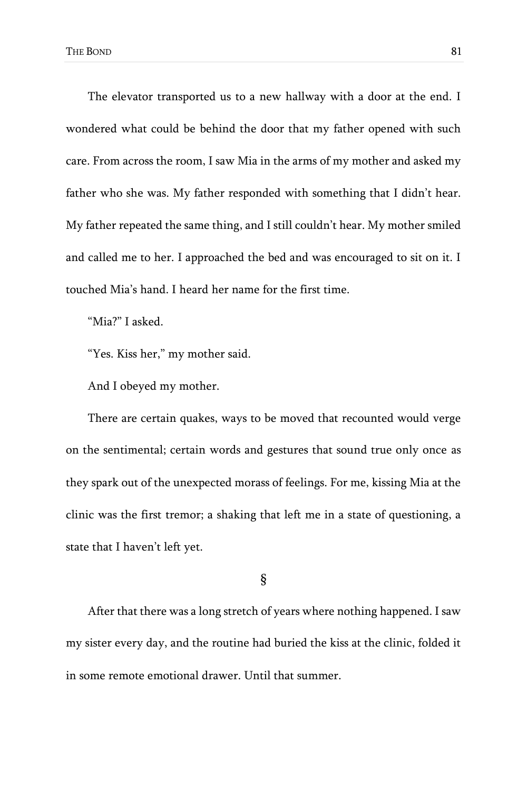The elevator transported us to a new hallway with a door at the end. I wondered what could be behind the door that my father opened with such care. From across the room, I saw Mia in the arms of my mother and asked my father who she was. My father responded with something that I didn't hear. My father repeated the same thing, and I still couldn't hear. My mother smiled and called me to her. I approached the bed and was encouraged to sit on it. I touched Mia's hand. I heard her name for the first time.

"Mia?" I asked.

"Yes. Kiss her," my mother said.

And I obeyed my mother.

There are certain quakes, ways to be moved that recounted would verge on the sentimental; certain words and gestures that sound true only once as they spark out of the unexpected morass of feelings. For me, kissing Mia at the clinic was the first tremor; a shaking that left me in a state of questioning, a state that I haven't left yet.

§

After that there was a long stretch of years where nothing happened. I saw my sister every day, and the routine had buried the kiss at the clinic, folded it in some remote emotional drawer. Until that summer.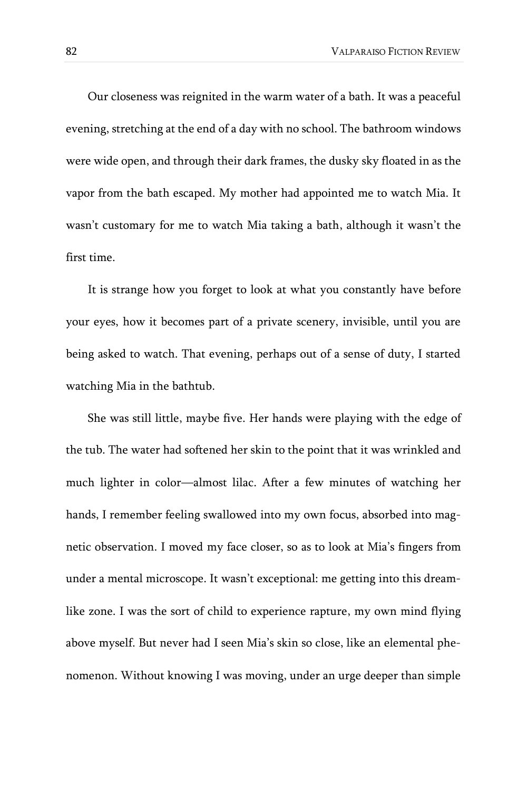Our closeness was reignited in the warm water of a bath. It was a peaceful evening, stretching at the end of a day with no school. The bathroom windows were wide open, and through their dark frames, the dusky sky floated in as the vapor from the bath escaped. My mother had appointed me to watch Mia. It wasn't customary for me to watch Mia taking a bath, although it wasn't the first time.

It is strange how you forget to look at what you constantly have before your eyes, how it becomes part of a private scenery, invisible, until you are being asked to watch. That evening, perhaps out of a sense of duty, I started watching Mia in the bathtub.

She was still little, maybe five. Her hands were playing with the edge of the tub. The water had softened her skin to the point that it was wrinkled and much lighter in color—almost lilac. After a few minutes of watching her hands, I remember feeling swallowed into my own focus, absorbed into magnetic observation. I moved my face closer, so as to look at Mia's fingers from under a mental microscope. It wasn't exceptional: me getting into this dreamlike zone. I was the sort of child to experience rapture, my own mind flying above myself. But never had I seen Mia's skin so close, like an elemental phenomenon. Without knowing I was moving, under an urge deeper than simple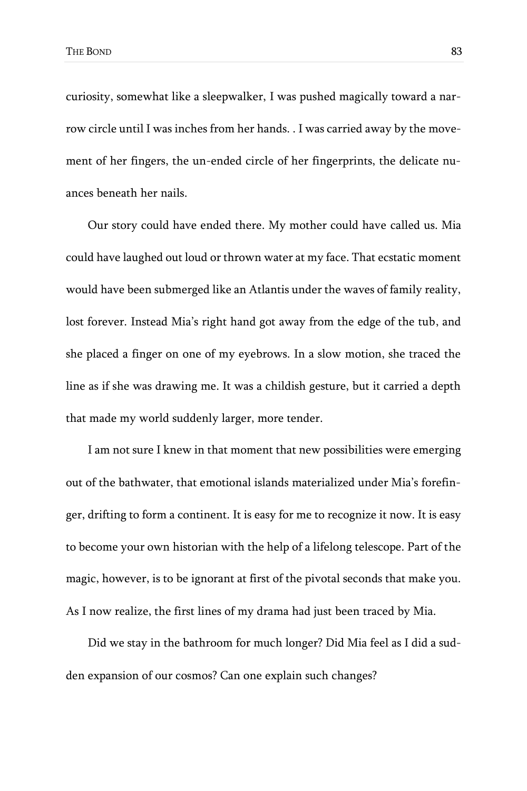curiosity, somewhat like a sleepwalker, I was pushed magically toward a narrow circle until I was inches from her hands. . I was carried away by the movement of her fingers, the un-ended circle of her fingerprints, the delicate nuances beneath her nails.

Our story could have ended there. My mother could have called us. Mia could have laughed out loud or thrown water at my face. That ecstatic moment would have been submerged like an Atlantis under the waves of family reality, lost forever. Instead Mia's right hand got away from the edge of the tub, and she placed a finger on one of my eyebrows. In a slow motion, she traced the line as if she was drawing me. It was a childish gesture, but it carried a depth that made my world suddenly larger, more tender.

I am not sure I knew in that moment that new possibilities were emerging out of the bathwater, that emotional islands materialized under Mia's forefinger, drifting to form a continent. It is easy for me to recognize it now. It is easy to become your own historian with the help of a lifelong telescope. Part of the magic, however, is to be ignorant at first of the pivotal seconds that make you. As I now realize, the first lines of my drama had just been traced by Mia.

Did we stay in the bathroom for much longer? Did Mia feel as I did a sudden expansion of our cosmos? Can one explain such changes?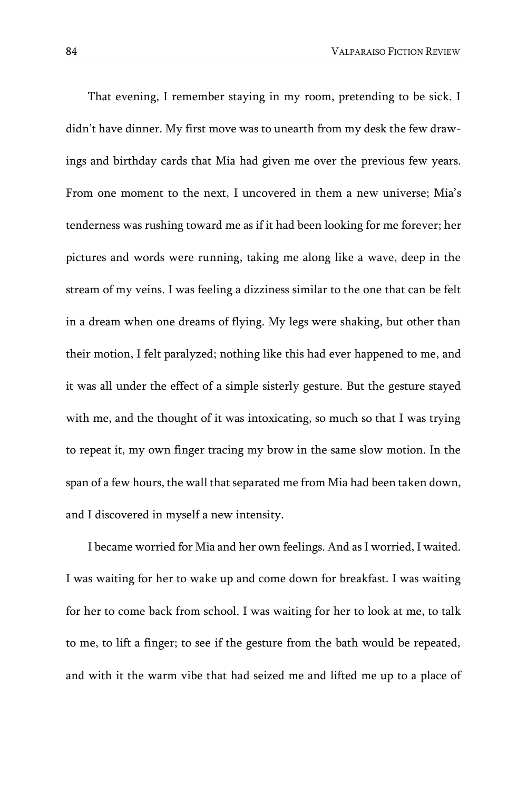That evening, I remember staying in my room, pretending to be sick. I didn't have dinner. My first move was to unearth from my desk the few drawings and birthday cards that Mia had given me over the previous few years. From one moment to the next, I uncovered in them a new universe; Mia's tenderness was rushing toward me as if it had been looking for me forever; her pictures and words were running, taking me along like a wave, deep in the stream of my veins. I was feeling a dizziness similar to the one that can be felt in a dream when one dreams of flying. My legs were shaking, but other than their motion, I felt paralyzed; nothing like this had ever happened to me, and it was all under the effect of a simple sisterly gesture. But the gesture stayed with me, and the thought of it was intoxicating, so much so that I was trying to repeat it, my own finger tracing my brow in the same slow motion. In the span of a few hours, the wall that separated me from Mia had been taken down, and I discovered in myself a new intensity.

I became worried for Mia and her own feelings. And as I worried, I waited. I was waiting for her to wake up and come down for breakfast. I was waiting for her to come back from school. I was waiting for her to look at me, to talk to me, to lift a finger; to see if the gesture from the bath would be repeated, and with it the warm vibe that had seized me and lifted me up to a place of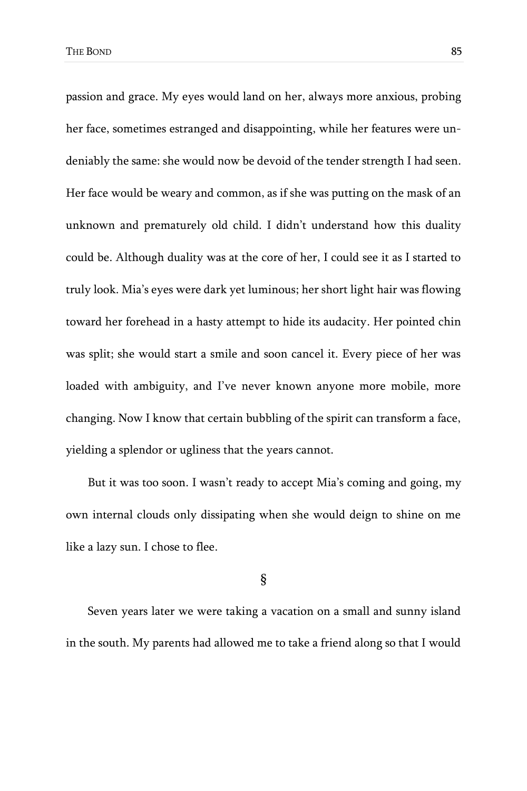passion and grace. My eyes would land on her, always more anxious, probing her face, sometimes estranged and disappointing, while her features were undeniably the same: she would now be devoid of the tender strength I had seen. Her face would be weary and common, as if she was putting on the mask of an unknown and prematurely old child. I didn't understand how this duality could be. Although duality was at the core of her, I could see it as I started to truly look. Mia's eyes were dark yet luminous; her short light hair was flowing toward her forehead in a hasty attempt to hide its audacity. Her pointed chin was split; she would start a smile and soon cancel it. Every piece of her was loaded with ambiguity, and I've never known anyone more mobile, more changing. Now I know that certain bubbling of the spirit can transform a face, yielding a splendor or ugliness that the years cannot.

But it was too soon. I wasn't ready to accept Mia's coming and going, my own internal clouds only dissipating when she would deign to shine on me like a lazy sun. I chose to flee.

§

Seven years later we were taking a vacation on a small and sunny island in the south. My parents had allowed me to take a friend along so that I would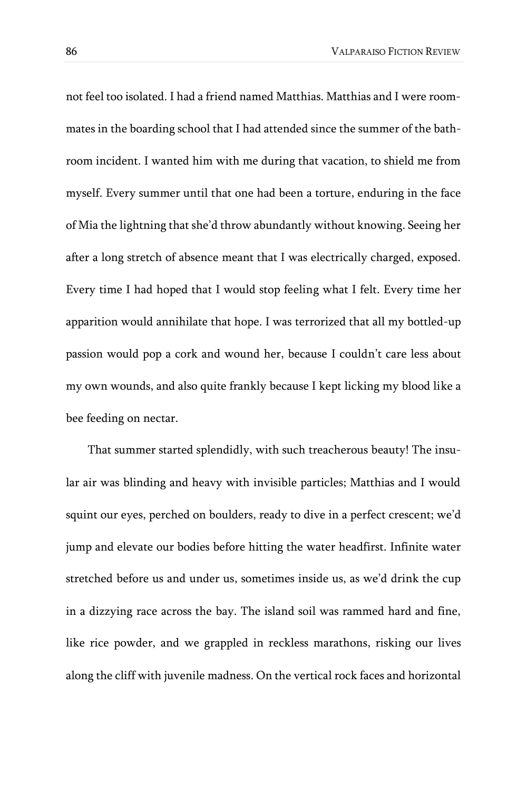not feel too isolated. I had a friend named Matthias. Matthias and I were roommates in the boarding school that I had attended since the summer of the bathroom incident. I wanted him with me during that vacation, to shield me from myself. Every summer until that one had been a torture, enduring in the face of Mia the lightning that she'd throw abundantly without knowing. Seeing her after a long stretch of absence meant that I was electrically charged, exposed. Every time I had hoped that I would stop feeling what I felt. Every time her apparition would annihilate that hope. I was terrorized that all my bottled-up passion would pop a cork and wound her, because I couldn't care less about my own wounds, and also quite frankly because I kept licking my blood like a bee feeding on nectar.

That summer started splendidly, with such treacherous beauty! The insular air was blinding and heavy with invisible particles; Matthias and I would squint our eyes, perched on boulders, ready to dive in a perfect crescent; we'd jump and elevate our bodies before hitting the water headfirst. Infinite water stretched before us and under us, sometimes inside us, as we'd drink the cup in a dizzying race across the bay. The island soil was rammed hard and fine, like rice powder, and we grappled in reckless marathons, risking our lives along the cliff with juvenile madness. On the vertical rock faces and horizontal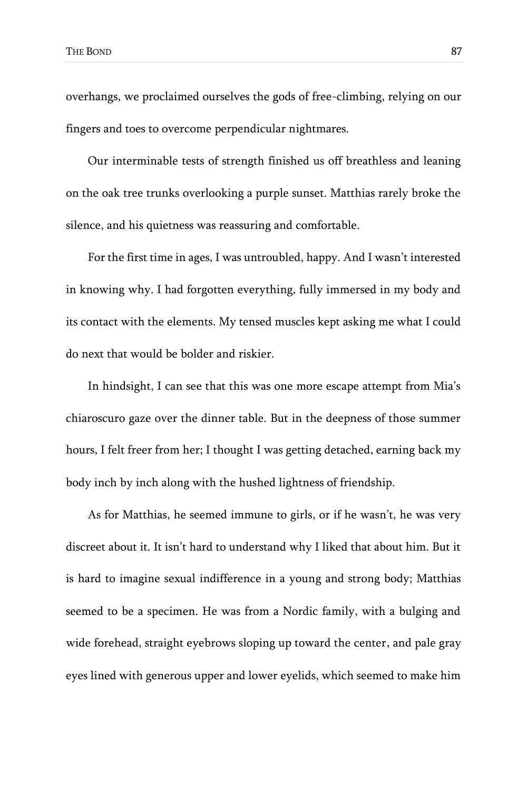overhangs, we proclaimed ourselves the gods of free-climbing, relying on our fingers and toes to overcome perpendicular nightmares.

Our interminable tests of strength finished us off breathless and leaning on the oak tree trunks overlooking a purple sunset. Matthias rarely broke the silence, and his quietness was reassuring and comfortable.

For the first time in ages, I was untroubled, happy. And I wasn't interested in knowing why. I had forgotten everything, fully immersed in my body and its contact with the elements. My tensed muscles kept asking me what I could do next that would be bolder and riskier.

In hindsight, I can see that this was one more escape attempt from Mia's chiaroscuro gaze over the dinner table. But in the deepness of those summer hours, I felt freer from her; I thought I was getting detached, earning back my body inch by inch along with the hushed lightness of friendship.

As for Matthias, he seemed immune to girls, or if he wasn't, he was very discreet about it. It isn't hard to understand why I liked that about him. But it is hard to imagine sexual indifference in a young and strong body; Matthias seemed to be a specimen. He was from a Nordic family, with a bulging and wide forehead, straight eyebrows sloping up toward the center, and pale gray eyes lined with generous upper and lower eyelids, which seemed to make him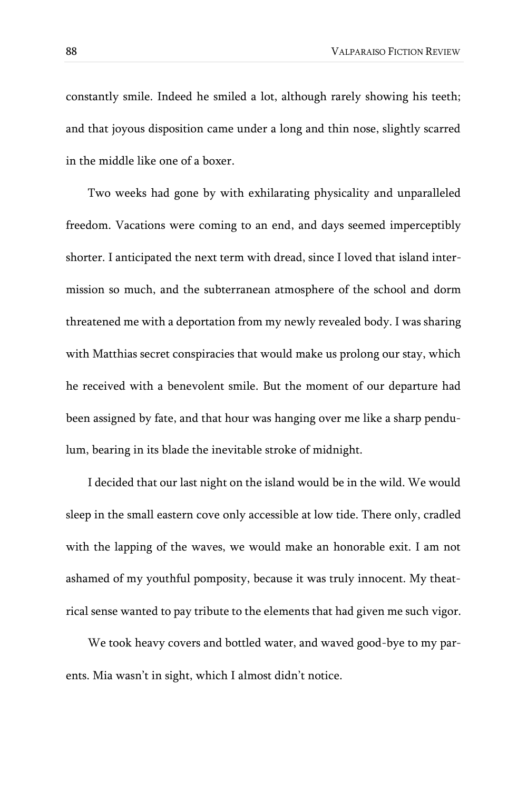constantly smile. Indeed he smiled a lot, although rarely showing his teeth; and that joyous disposition came under a long and thin nose, slightly scarred in the middle like one of a boxer.

Two weeks had gone by with exhilarating physicality and unparalleled freedom. Vacations were coming to an end, and days seemed imperceptibly shorter. I anticipated the next term with dread, since I loved that island intermission so much, and the subterranean atmosphere of the school and dorm threatened me with a deportation from my newly revealed body. I was sharing with Matthias secret conspiracies that would make us prolong our stay, which he received with a benevolent smile. But the moment of our departure had been assigned by fate, and that hour was hanging over me like a sharp pendulum, bearing in its blade the inevitable stroke of midnight.

I decided that our last night on the island would be in the wild. We would sleep in the small eastern cove only accessible at low tide. There only, cradled with the lapping of the waves, we would make an honorable exit. I am not ashamed of my youthful pomposity, because it was truly innocent. My theatrical sense wanted to pay tribute to the elements that had given me such vigor.

We took heavy covers and bottled water, and waved good-bye to my parents. Mia wasn't in sight, which I almost didn't notice.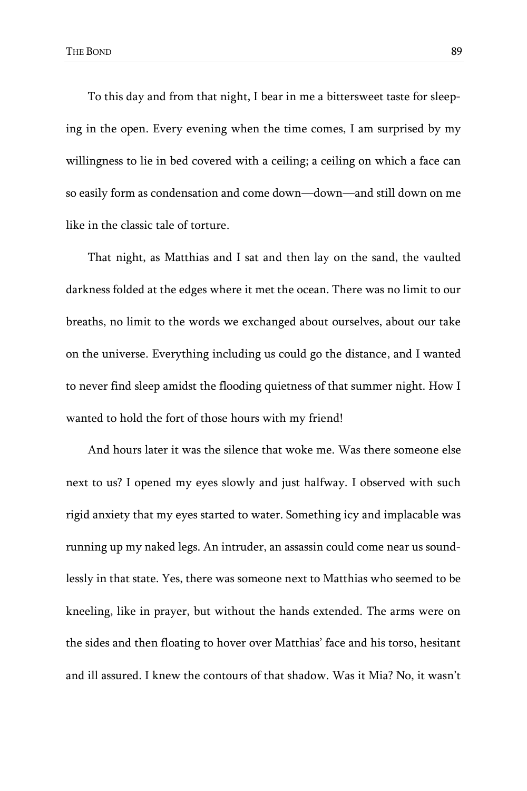To this day and from that night, I bear in me a bittersweet taste for sleeping in the open. Every evening when the time comes, I am surprised by my willingness to lie in bed covered with a ceiling; a ceiling on which a face can so easily form as condensation and come down—down—and still down on me like in the classic tale of torture.

That night, as Matthias and I sat and then lay on the sand, the vaulted darkness folded at the edges where it met the ocean. There was no limit to our breaths, no limit to the words we exchanged about ourselves, about our take on the universe. Everything including us could go the distance, and I wanted to never find sleep amidst the flooding quietness of that summer night. How I wanted to hold the fort of those hours with my friend!

And hours later it was the silence that woke me. Was there someone else next to us? I opened my eyes slowly and just halfway. I observed with such rigid anxiety that my eyes started to water. Something icy and implacable was running up my naked legs. An intruder, an assassin could come near us soundlessly in that state. Yes, there was someone next to Matthias who seemed to be kneeling, like in prayer, but without the hands extended. The arms were on the sides and then floating to hover over Matthias' face and his torso, hesitant and ill assured. I knew the contours of that shadow. Was it Mia? No, it wasn't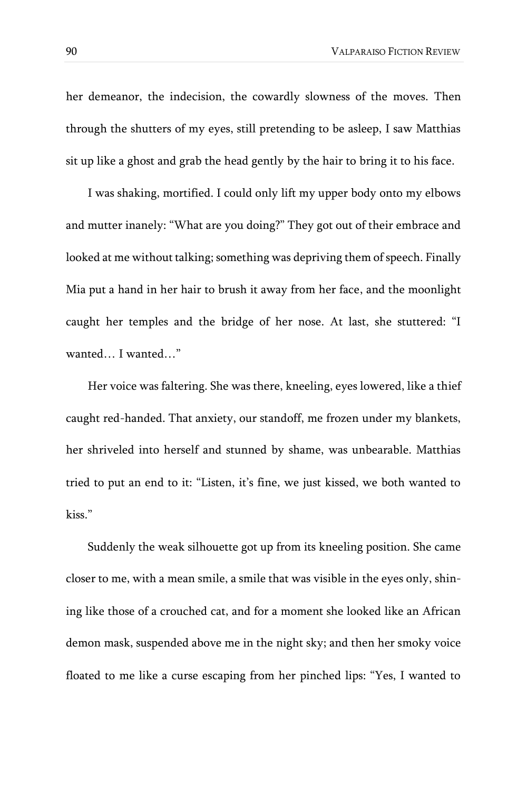her demeanor, the indecision, the cowardly slowness of the moves. Then through the shutters of my eyes, still pretending to be asleep, I saw Matthias sit up like a ghost and grab the head gently by the hair to bring it to his face.

I was shaking, mortified. I could only lift my upper body onto my elbows and mutter inanely: "What are you doing?" They got out of their embrace and looked at me without talking; something was depriving them of speech. Finally Mia put a hand in her hair to brush it away from her face, and the moonlight caught her temples and the bridge of her nose. At last, she stuttered: "I wanted… I wanted…"

Her voice was faltering. She was there, kneeling, eyes lowered, like a thief caught red-handed. That anxiety, our standoff, me frozen under my blankets, her shriveled into herself and stunned by shame, was unbearable. Matthias tried to put an end to it: "Listen, it's fine, we just kissed, we both wanted to kiss."

Suddenly the weak silhouette got up from its kneeling position. She came closer to me, with a mean smile, a smile that was visible in the eyes only, shining like those of a crouched cat, and for a moment she looked like an African demon mask, suspended above me in the night sky; and then her smoky voice floated to me like a curse escaping from her pinched lips: "Yes, I wanted to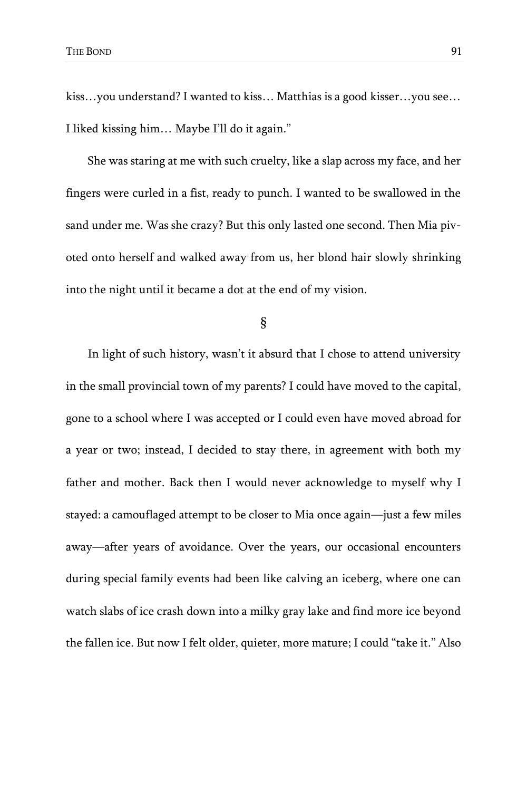kiss…you understand? I wanted to kiss… Matthias is a good kisser…you see… I liked kissing him… Maybe I'll do it again."

She was staring at me with such cruelty, like a slap across my face, and her fingers were curled in a fist, ready to punch. I wanted to be swallowed in the sand under me. Was she crazy? But this only lasted one second. Then Mia pivoted onto herself and walked away from us, her blond hair slowly shrinking into the night until it became a dot at the end of my vision.

§

In light of such history, wasn't it absurd that I chose to attend university in the small provincial town of my parents? I could have moved to the capital, gone to a school where I was accepted or I could even have moved abroad for a year or two; instead, I decided to stay there, in agreement with both my father and mother. Back then I would never acknowledge to myself why I stayed: a camouflaged attempt to be closer to Mia once again—just a few miles away—after years of avoidance. Over the years, our occasional encounters during special family events had been like calving an iceberg, where one can watch slabs of ice crash down into a milky gray lake and find more ice beyond the fallen ice. But now I felt older, quieter, more mature; I could "take it." Also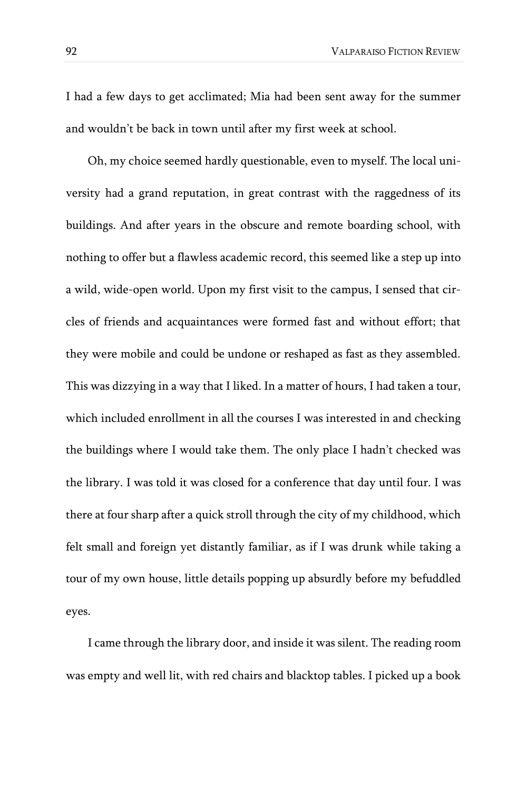I had a few days to get acclimated; Mia had been sent away for the summer and wouldn't be back in town until after my first week at school.

Oh, my choice seemed hardly questionable, even to myself. The local university had a grand reputation, in great contrast with the raggedness of its buildings. And after years in the obscure and remote boarding school, with nothing to offer but a flawless academic record, this seemed like a step up into a wild, wide-open world. Upon my first visit to the campus, I sensed that circles of friends and acquaintances were formed fast and without effort; that they were mobile and could be undone or reshaped as fast as they assembled. This was dizzying in a way that I liked. In a matter of hours, I had taken a tour, which included enrollment in all the courses I was interested in and checking the buildings where I would take them. The only place I hadn't checked was the library. I was told it was closed for a conference that day until four. I was there at four sharp after a quick stroll through the city of my childhood, which felt small and foreign yet distantly familiar, as if I was drunk while taking a tour of my own house, little details popping up absurdly before my befuddled eyes.

I came through the library door, and inside it was silent. The reading room was empty and well lit, with red chairs and blacktop tables. I picked up a book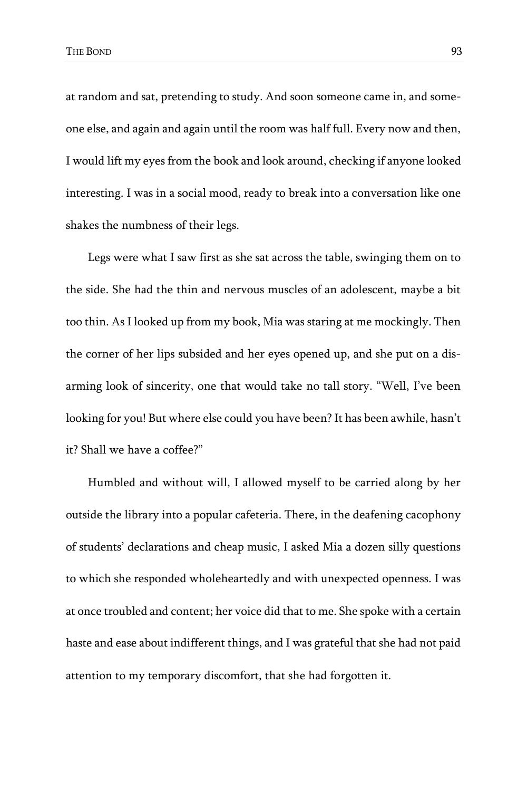at random and sat, pretending to study. And soon someone came in, and someone else, and again and again until the room was half full. Every now and then, I would lift my eyes from the book and look around, checking if anyone looked interesting. I was in a social mood, ready to break into a conversation like one shakes the numbness of their legs.

Legs were what I saw first as she sat across the table, swinging them on to the side. She had the thin and nervous muscles of an adolescent, maybe a bit too thin. As I looked up from my book, Mia was staring at me mockingly. Then the corner of her lips subsided and her eyes opened up, and she put on a disarming look of sincerity, one that would take no tall story. "Well, I've been looking for you! But where else could you have been? It has been awhile, hasn't it? Shall we have a coffee?"

Humbled and without will, I allowed myself to be carried along by her outside the library into a popular cafeteria. There, in the deafening cacophony of students' declarations and cheap music, I asked Mia a dozen silly questions to which she responded wholeheartedly and with unexpected openness. I was at once troubled and content; her voice did that to me. She spoke with a certain haste and ease about indifferent things, and I was grateful that she had not paid attention to my temporary discomfort, that she had forgotten it.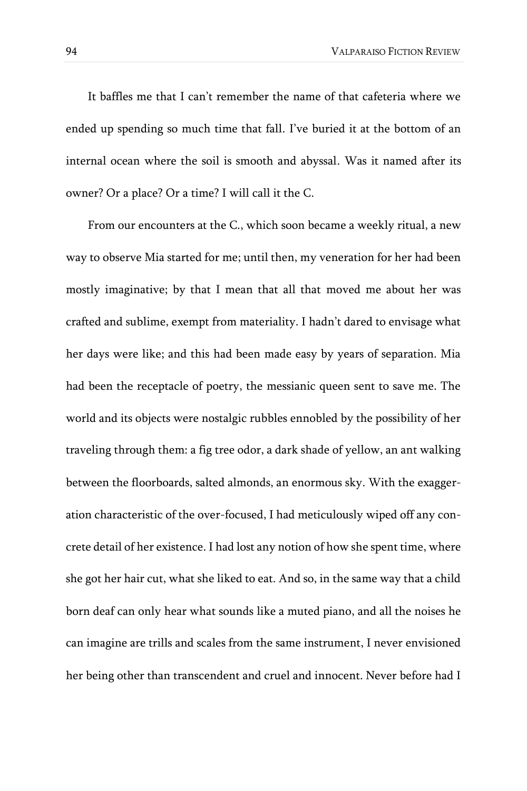It baffles me that I can't remember the name of that cafeteria where we ended up spending so much time that fall. I've buried it at the bottom of an internal ocean where the soil is smooth and abyssal. Was it named after its owner? Or a place? Or a time? I will call it the C.

From our encounters at the C., which soon became a weekly ritual, a new way to observe Mia started for me; until then, my veneration for her had been mostly imaginative; by that I mean that all that moved me about her was crafted and sublime, exempt from materiality. I hadn't dared to envisage what her days were like; and this had been made easy by years of separation. Mia had been the receptacle of poetry, the messianic queen sent to save me. The world and its objects were nostalgic rubbles ennobled by the possibility of her traveling through them: a fig tree odor, a dark shade of yellow, an ant walking between the floorboards, salted almonds, an enormous sky. With the exaggeration characteristic of the over-focused, I had meticulously wiped off any concrete detail of her existence. I had lost any notion of how she spent time, where she got her hair cut, what she liked to eat. And so, in the same way that a child born deaf can only hear what sounds like a muted piano, and all the noises he can imagine are trills and scales from the same instrument, I never envisioned her being other than transcendent and cruel and innocent. Never before had I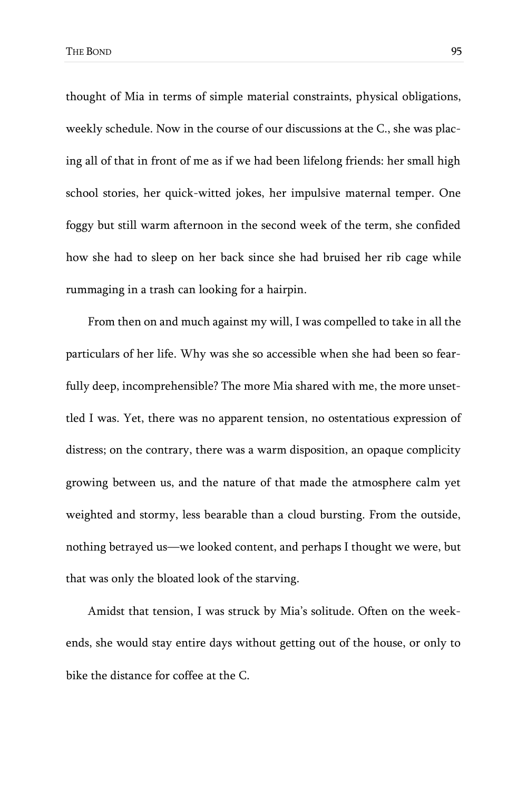thought of Mia in terms of simple material constraints, physical obligations, weekly schedule. Now in the course of our discussions at the C., she was placing all of that in front of me as if we had been lifelong friends: her small high school stories, her quick-witted jokes, her impulsive maternal temper. One foggy but still warm afternoon in the second week of the term, she confided how she had to sleep on her back since she had bruised her rib cage while rummaging in a trash can looking for a hairpin.

From then on and much against my will, I was compelled to take in all the particulars of her life. Why was she so accessible when she had been so fearfully deep, incomprehensible? The more Mia shared with me, the more unsettled I was. Yet, there was no apparent tension, no ostentatious expression of distress; on the contrary, there was a warm disposition, an opaque complicity growing between us, and the nature of that made the atmosphere calm yet weighted and stormy, less bearable than a cloud bursting. From the outside, nothing betrayed us—we looked content, and perhaps I thought we were, but that was only the bloated look of the starving.

Amidst that tension, I was struck by Mia's solitude. Often on the weekends, she would stay entire days without getting out of the house, or only to bike the distance for coffee at the C.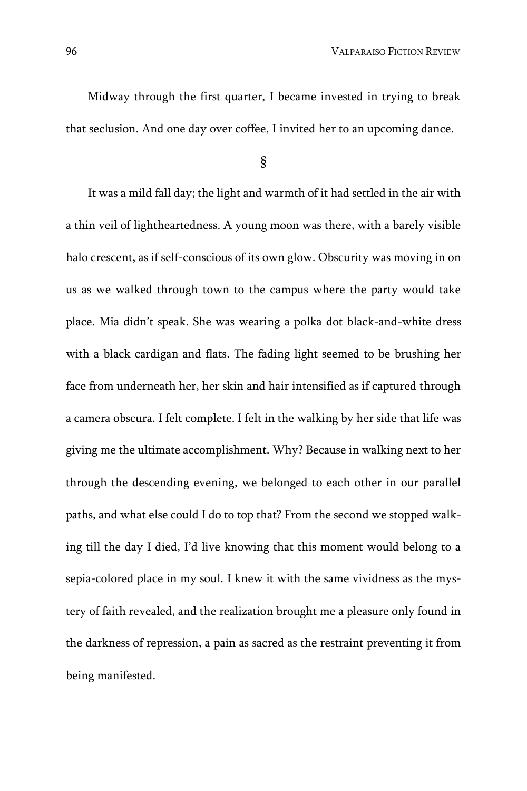Midway through the first quarter, I became invested in trying to break that seclusion. And one day over coffee, I invited her to an upcoming dance.

§

It was a mild fall day; the light and warmth of it had settled in the air with a thin veil of lightheartedness. A young moon was there, with a barely visible halo crescent, as if self-conscious of its own glow. Obscurity was moving in on us as we walked through town to the campus where the party would take place. Mia didn't speak. She was wearing a polka dot black-and-white dress with a black cardigan and flats. The fading light seemed to be brushing her face from underneath her, her skin and hair intensified as if captured through a camera obscura. I felt complete. I felt in the walking by her side that life was giving me the ultimate accomplishment. Why? Because in walking next to her through the descending evening, we belonged to each other in our parallel paths, and what else could I do to top that? From the second we stopped walking till the day I died, I'd live knowing that this moment would belong to a sepia-colored place in my soul. I knew it with the same vividness as the mystery of faith revealed, and the realization brought me a pleasure only found in the darkness of repression, a pain as sacred as the restraint preventing it from being manifested.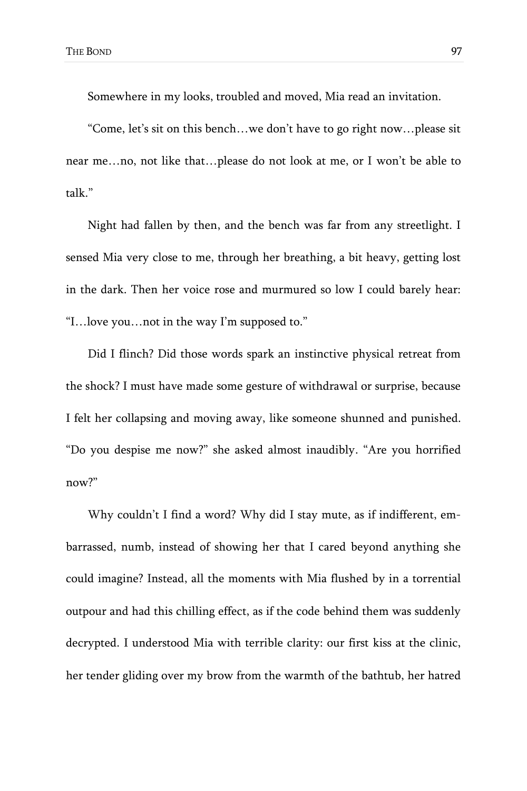Somewhere in my looks, troubled and moved, Mia read an invitation.

"Come, let's sit on this bench…we don't have to go right now…please sit near me…no, not like that…please do not look at me, or I won't be able to talk."

Night had fallen by then, and the bench was far from any streetlight. I sensed Mia very close to me, through her breathing, a bit heavy, getting lost in the dark. Then her voice rose and murmured so low I could barely hear: "I…love you…not in the way I'm supposed to."

Did I flinch? Did those words spark an instinctive physical retreat from the shock? I must have made some gesture of withdrawal or surprise, because I felt her collapsing and moving away, like someone shunned and punished. "Do you despise me now?" she asked almost inaudibly. "Are you horrified now?"

Why couldn't I find a word? Why did I stay mute, as if indifferent, embarrassed, numb, instead of showing her that I cared beyond anything she could imagine? Instead, all the moments with Mia flushed by in a torrential outpour and had this chilling effect, as if the code behind them was suddenly decrypted. I understood Mia with terrible clarity: our first kiss at the clinic, her tender gliding over my brow from the warmth of the bathtub, her hatred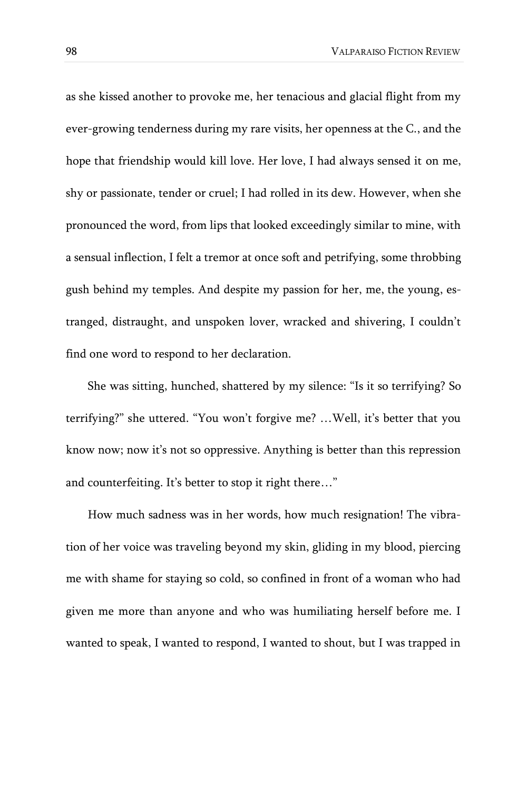as she kissed another to provoke me, her tenacious and glacial flight from my ever-growing tenderness during my rare visits, her openness at the C., and the hope that friendship would kill love. Her love, I had always sensed it on me, shy or passionate, tender or cruel; I had rolled in its dew. However, when she pronounced the word, from lips that looked exceedingly similar to mine, with a sensual inflection, I felt a tremor at once soft and petrifying, some throbbing gush behind my temples. And despite my passion for her, me, the young, estranged, distraught, and unspoken lover, wracked and shivering, I couldn't find one word to respond to her declaration.

She was sitting, hunched, shattered by my silence: "Is it so terrifying? So terrifying?" she uttered. "You won't forgive me? …Well, it's better that you know now; now it's not so oppressive. Anything is better than this repression and counterfeiting. It's better to stop it right there…"

How much sadness was in her words, how much resignation! The vibration of her voice was traveling beyond my skin, gliding in my blood, piercing me with shame for staying so cold, so confined in front of a woman who had given me more than anyone and who was humiliating herself before me. I wanted to speak, I wanted to respond, I wanted to shout, but I was trapped in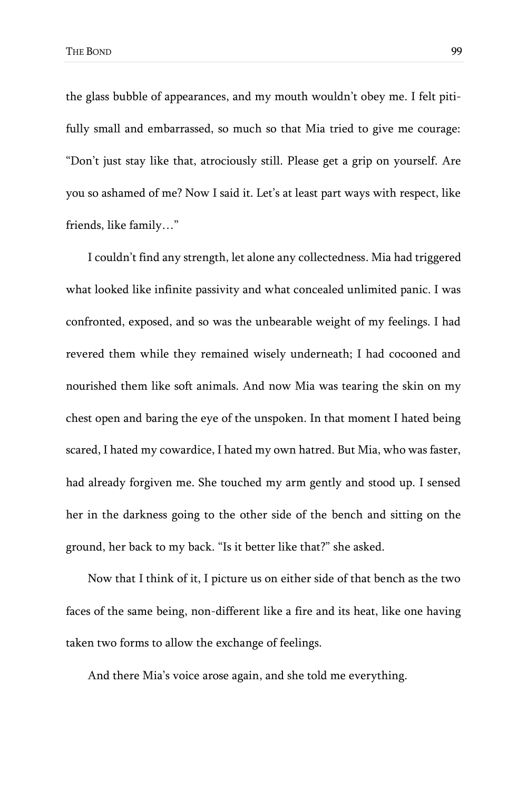the glass bubble of appearances, and my mouth wouldn't obey me. I felt pitifully small and embarrassed, so much so that Mia tried to give me courage: "Don't just stay like that, atrociously still. Please get a grip on yourself. Are you so ashamed of me? Now I said it. Let's at least part ways with respect, like friends, like family…"

I couldn't find any strength, let alone any collectedness. Mia had triggered what looked like infinite passivity and what concealed unlimited panic. I was confronted, exposed, and so was the unbearable weight of my feelings. I had revered them while they remained wisely underneath; I had cocooned and nourished them like soft animals. And now Mia was tearing the skin on my chest open and baring the eye of the unspoken. In that moment I hated being scared, I hated my cowardice, I hated my own hatred. But Mia, who was faster, had already forgiven me. She touched my arm gently and stood up. I sensed her in the darkness going to the other side of the bench and sitting on the ground, her back to my back. "Is it better like that?" she asked.

Now that I think of it, I picture us on either side of that bench as the two faces of the same being, non-different like a fire and its heat, like one having taken two forms to allow the exchange of feelings.

And there Mia's voice arose again, and she told me everything.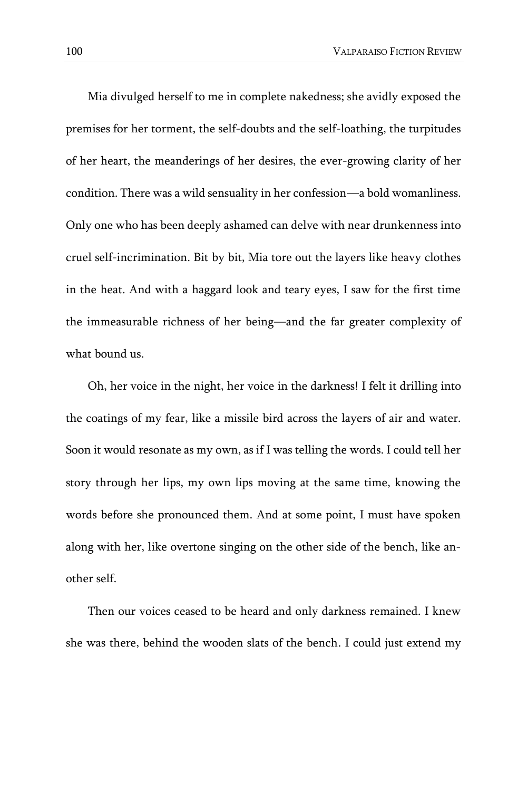Mia divulged herself to me in complete nakedness; she avidly exposed the premises for her torment, the self-doubts and the self-loathing, the turpitudes of her heart, the meanderings of her desires, the ever-growing clarity of her condition. There was a wild sensuality in her confession—a bold womanliness. Only one who has been deeply ashamed can delve with near drunkenness into cruel self-incrimination. Bit by bit, Mia tore out the layers like heavy clothes in the heat. And with a haggard look and teary eyes, I saw for the first time the immeasurable richness of her being—and the far greater complexity of what bound us.

Oh, her voice in the night, her voice in the darkness! I felt it drilling into the coatings of my fear, like a missile bird across the layers of air and water. Soon it would resonate as my own, as if I was telling the words. I could tell her story through her lips, my own lips moving at the same time, knowing the words before she pronounced them. And at some point, I must have spoken along with her, like overtone singing on the other side of the bench, like another self.

Then our voices ceased to be heard and only darkness remained. I knew she was there, behind the wooden slats of the bench. I could just extend my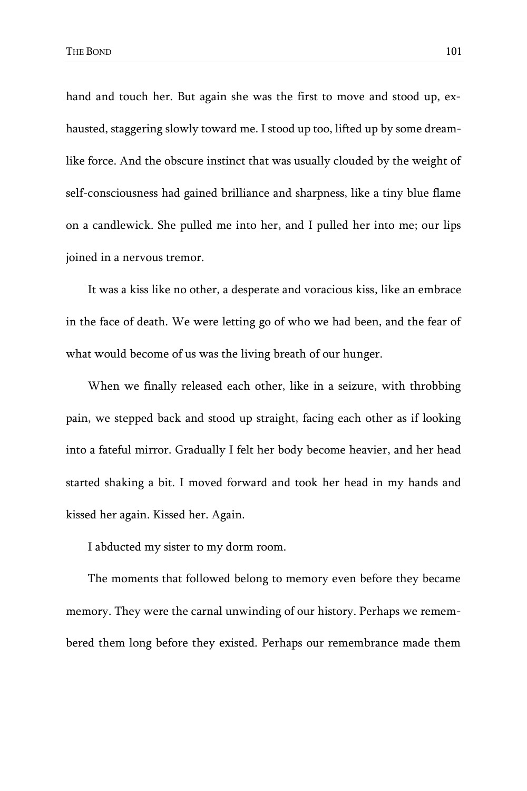hand and touch her. But again she was the first to move and stood up, exhausted, staggering slowly toward me. I stood up too, lifted up by some dreamlike force. And the obscure instinct that was usually clouded by the weight of self-consciousness had gained brilliance and sharpness, like a tiny blue flame on a candlewick. She pulled me into her, and I pulled her into me; our lips joined in a nervous tremor.

It was a kiss like no other, a desperate and voracious kiss, like an embrace in the face of death. We were letting go of who we had been, and the fear of what would become of us was the living breath of our hunger.

When we finally released each other, like in a seizure, with throbbing pain, we stepped back and stood up straight, facing each other as if looking into a fateful mirror. Gradually I felt her body become heavier, and her head started shaking a bit. I moved forward and took her head in my hands and kissed her again. Kissed her. Again.

I abducted my sister to my dorm room.

The moments that followed belong to memory even before they became memory. They were the carnal unwinding of our history. Perhaps we remembered them long before they existed. Perhaps our remembrance made them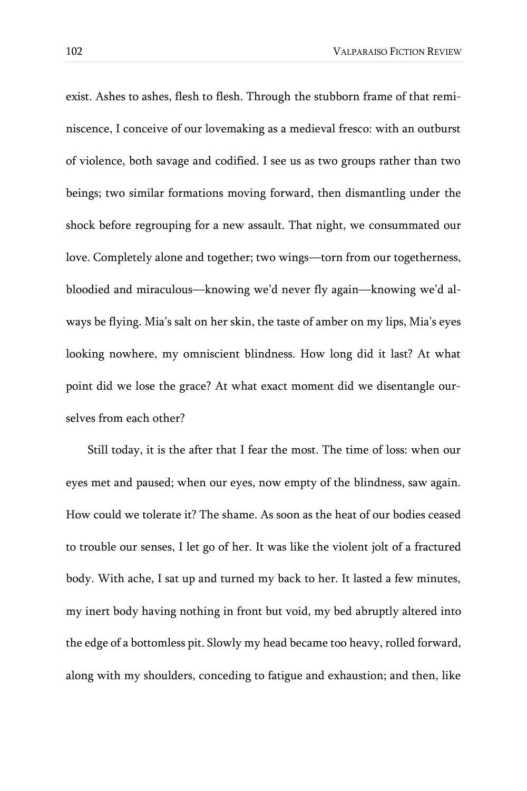exist. Ashes to ashes, flesh to flesh. Through the stubborn frame of that reminiscence, I conceive of our lovemaking as a medieval fresco: with an outburst of violence, both savage and codified. I see us as two groups rather than two beings; two similar formations moving forward, then dismantling under the shock before regrouping for a new assault. That night, we consummated our love. Completely alone and together; two wings—torn from our togetherness, bloodied and miraculous—knowing we'd never fly again—knowing we'd always be flying. Mia's salt on her skin, the taste of amber on my lips, Mia's eyes looking nowhere, my omniscient blindness. How long did it last? At what point did we lose the grace? At what exact moment did we disentangle ourselves from each other?

Still today, it is the after that I fear the most. The time of loss: when our eyes met and paused; when our eyes, now empty of the blindness, saw again. How could we tolerate it? The shame. As soon as the heat of our bodies ceased to trouble our senses, I let go of her. It was like the violent jolt of a fractured body. With ache, I sat up and turned my back to her. It lasted a few minutes, my inert body having nothing in front but void, my bed abruptly altered into the edge of a bottomless pit. Slowly my head became too heavy, rolled forward, along with my shoulders, conceding to fatigue and exhaustion; and then, like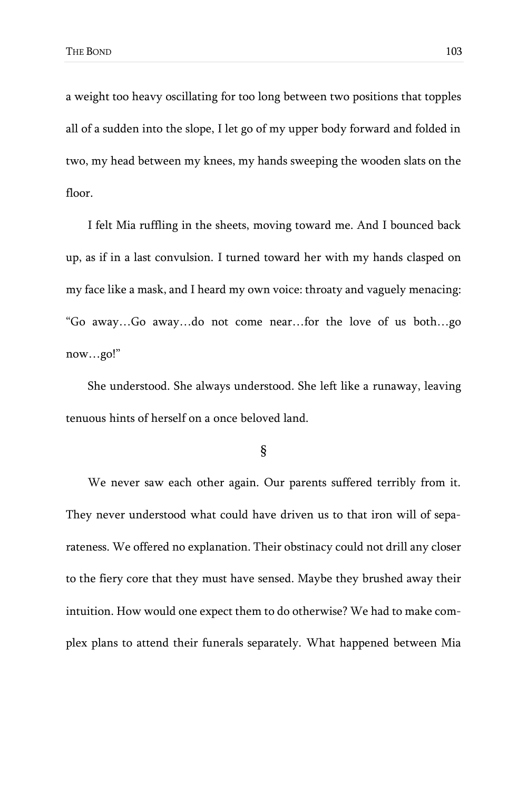a weight too heavy oscillating for too long between two positions that topples all of a sudden into the slope, I let go of my upper body forward and folded in two, my head between my knees, my hands sweeping the wooden slats on the floor.

I felt Mia ruffling in the sheets, moving toward me. And I bounced back up, as if in a last convulsion. I turned toward her with my hands clasped on my face like a mask, and I heard my own voice: throaty and vaguely menacing: "Go away…Go away…do not come near…for the love of us both…go now…go!"

She understood. She always understood. She left like a runaway, leaving tenuous hints of herself on a once beloved land.

§

We never saw each other again. Our parents suffered terribly from it. They never understood what could have driven us to that iron will of separateness. We offered no explanation. Their obstinacy could not drill any closer to the fiery core that they must have sensed. Maybe they brushed away their intuition. How would one expect them to do otherwise? We had to make complex plans to attend their funerals separately. What happened between Mia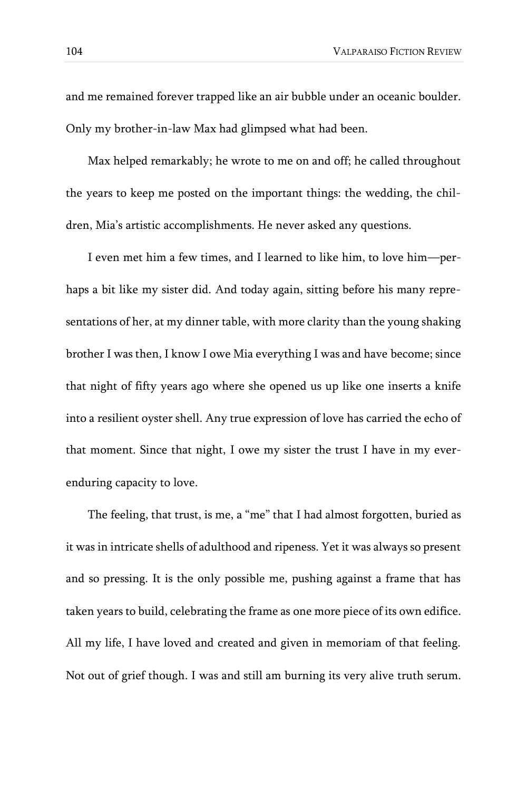and me remained forever trapped like an air bubble under an oceanic boulder. Only my brother-in-law Max had glimpsed what had been.

Max helped remarkably; he wrote to me on and off; he called throughout the years to keep me posted on the important things: the wedding, the children, Mia's artistic accomplishments. He never asked any questions.

I even met him a few times, and I learned to like him, to love him—perhaps a bit like my sister did. And today again, sitting before his many representations of her, at my dinner table, with more clarity than the young shaking brother I was then, I know I owe Mia everything I was and have become; since that night of fifty years ago where she opened us up like one inserts a knife into a resilient oyster shell. Any true expression of love has carried the echo of that moment. Since that night, I owe my sister the trust I have in my everenduring capacity to love.

The feeling, that trust, is me, a "me" that I had almost forgotten, buried as it was in intricate shells of adulthood and ripeness. Yet it was always so present and so pressing. It is the only possible me, pushing against a frame that has taken years to build, celebrating the frame as one more piece of its own edifice. All my life, I have loved and created and given in memoriam of that feeling. Not out of grief though. I was and still am burning its very alive truth serum.